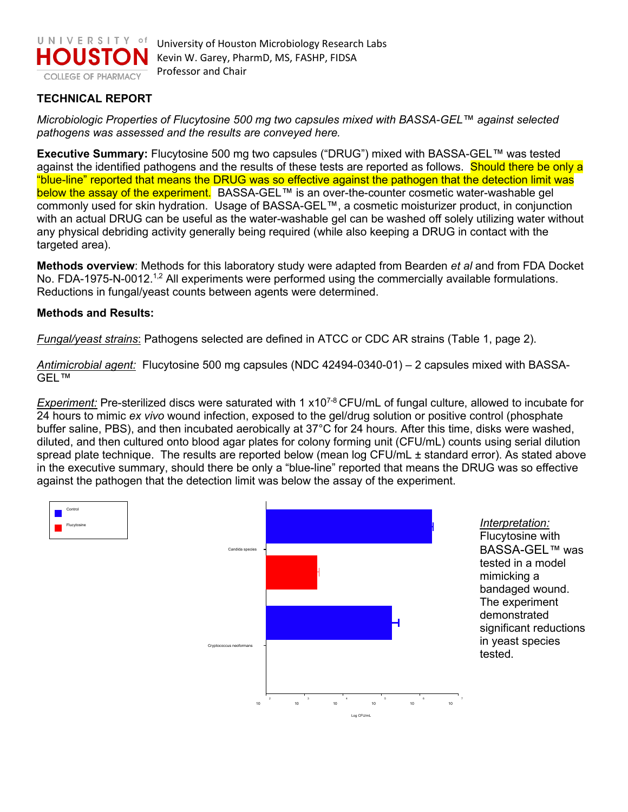

## **TECHNICAL REPORT**

*Microbiologic Properties of Flucytosine 500 mg two capsules mixed with BASSA-GEL™ against selected pathogens was assessed and the results are conveyed here.* 

**Executive Summary:** Flucytosine 500 mg two capsules ("DRUG") mixed with BASSA-GEL*™* was tested against the identified pathogens and the results of these tests are reported as follows. Should there be only a "blue-line" reported that means the DRUG was so effective against the pathogen that the detection limit was below the assay of the experiment. BASSA-GEL™ is an over-the-counter cosmetic water-washable gel commonly used for skin hydration. Usage of BASSA-GEL™, a cosmetic moisturizer product, in conjunction with an actual DRUG can be useful as the water-washable gel can be washed off solely utilizing water without any physical debriding activity generally being required (while also keeping a DRUG in contact with the targeted area).

**Methods overview**: Methods for this laboratory study were adapted from Bearden *et al* and from FDA Docket No. FDA-1975-N-0012.<sup>1,2</sup> All experiments were performed using the commercially available formulations. Reductions in fungal/yeast counts between agents were determined.

## **Methods and Results:**

*Fungal/yeast strains*: Pathogens selected are defined in ATCC or CDC AR strains (Table 1, page 2).

*Antimicrobial agent:* Flucytosine 500 mg capsules (NDC 42494-0340-01) – 2 capsules mixed with BASSA-GEL*™*

*Experiment:* Pre-sterilized discs were saturated with 1 x10<sup>7-8</sup> CFU/mL of fungal culture, allowed to incubate for 24 hours to mimic *ex vivo* wound infection, exposed to the gel/drug solution or positive control (phosphate buffer saline, PBS), and then incubated aerobically at 37°C for 24 hours. After this time, disks were washed, diluted, and then cultured onto blood agar plates for colony forming unit (CFU/mL) counts using serial dilution spread plate technique. The results are reported below (mean log CFU/mL ± standard error). As stated above in the executive summary, should there be only a "blue-line" reported that means the DRUG was so effective against the pathogen that the detection limit was below the assay of the experiment.